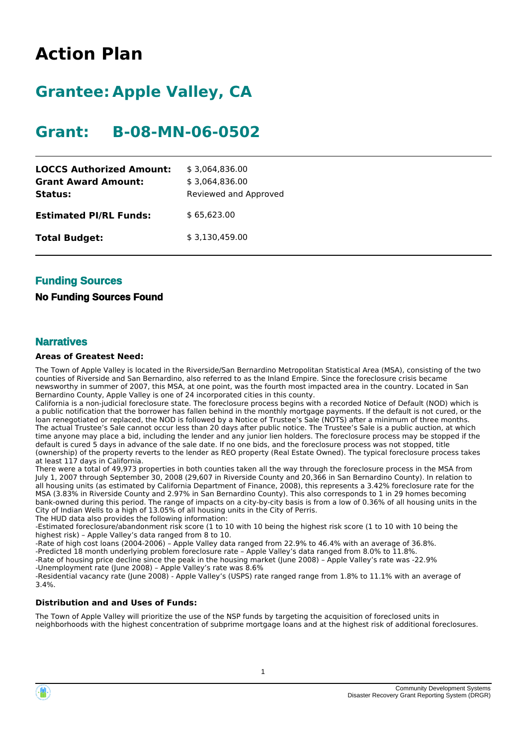# **Action Plan**

# **Grantee: Apple Valley, CA**

# **Grant: B-08-MN-06-0502**

| \$3,064,836.00<br>\$3,064,836.00<br>Reviewed and Approved |
|-----------------------------------------------------------|
| \$65,623.00                                               |
| \$3,130,459.00                                            |
|                                                           |

#### **Funding Sources**

#### **No Funding Sources Found**

#### **Narratives**

#### **Areas of Greatest Need:**

The Town of Apple Valley is located in the Riverside/San Bernardino Metropolitan Statistical Area (MSA), consisting of the two counties of Riverside and San Bernardino, also referred to as the Inland Empire. Since the foreclosure crisis became newsworthy in summer of 2007, this MSA, at one point, was the fourth most impacted area in the country. Located in San Bernardino County, Apple Valley is one of 24 incorporated cities in this county.

California is a non-judicial foreclosure state. The foreclosure process begins with a recorded Notice of Default (NOD) which is a public notification that the borrower has fallen behind in the monthly mortgage payments. If the default is not cured, or the loan renegotiated or replaced, the NOD is followed by a Notice of Trustee's Sale (NOTS) after a minimum of three months. The actual Trustee's Sale cannot occur less than 20 days after public notice. The Trustee's Sale is a public auction, at which time anyone may place a bid, including the lender and any junior lien holders. The foreclosure process may be stopped if the default is cured 5 days in advance of the sale date. If no one bids, and the foreclosure process was not stopped, title (ownership) of the property reverts to the lender as REO property (Real Estate Owned). The typical foreclosure process takes at least 117 days in California.

There were a total of 49,973 properties in both counties taken all the way through the foreclosure process in the MSA from July 1, 2007 through September 30, 2008 (29,607 in Riverside County and 20,366 in San Bernardino County). In relation to all housing units (as estimated by California Department of Finance, 2008), this represents a 3.42% foreclosure rate for the MSA (3.83% in Riverside County and 2.97% in San Bernardino County). This also corresponds to 1 in 29 homes becoming bank-owned during this period. The range of impacts on a city-by-city basis is from a low of 0.36% of all housing units in the City of Indian Wells to a high of 13.05% of all housing units in the City of Perris.

The HUD data also provides the following information:

-Estimated foreclosure/abandonment risk score (1 to 10 with 10 being the highest risk score (1 to 10 with 10 being the highest risk) – Apple Valley's data ranged from 8 to 10.

-Rate of high cost loans (2004-2006) – Apple Valley data ranged from 22.9% to 46.4% with an average of 36.8%.

-Predicted 18 month underlying problem foreclosure rate – Apple Valley's data ranged from 8.0% to 11.8%. -Rate of housing price decline since the peak in the housing market (June 2008) – Apple Valley's rate was -22.9% -Unemployment rate (June 2008) – Apple Valley's rate was 8.6%

-Residential vacancy rate (June 2008) - Apple Valley's (USPS) rate ranged range from 1.8% to 11.1% with an average of 3.4%.

#### **Distribution and and Uses of Funds:**

The Town of Apple Valley will prioritize the use of the NSP funds by targeting the acquisition of foreclosed units in neighborhoods with the highest concentration of subprime mortgage loans and at the highest risk of additional foreclosures.

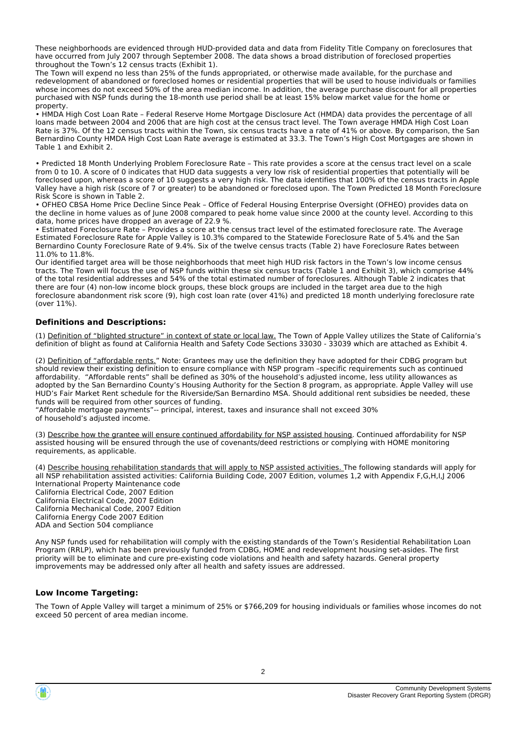These neighborhoods are evidenced through HUD-provided data and data from Fidelity Title Company on foreclosures that have occurred from July 2007 through September 2008. The data shows a broad distribution of foreclosed properties throughout the Town's 12 census tracts (Exhibit 1).

The Town will expend no less than 25% of the funds appropriated, or otherwise made available, for the purchase and redevelopment of abandoned or foreclosed homes or residential properties that will be used to house individuals or families whose incomes do not exceed 50% of the area median income. In addition, the average purchase discount for all properties purchased with NSP funds during the 18-month use period shall be at least 15% below market value for the home or property.

• HMDA High Cost Loan Rate – Federal Reserve Home Mortgage Disclosure Act (HMDA) data provides the percentage of all loans made between 2004 and 2006 that are high cost at the census tract level. The Town average HMDA High Cost Loan Rate is 37%. Of the 12 census tracts within the Town, six census tracts have a rate of 41% or above. By comparison, the San Bernardino County HMDA High Cost Loan Rate average is estimated at 33.3. The Town's High Cost Mortgages are shown in Table 1 and Exhibit 2.

• Predicted 18 Month Underlying Problem Foreclosure Rate – This rate provides a score at the census tract level on a scale from 0 to 10. A score of 0 indicates that HUD data suggests a very low risk of residential properties that potentially will be foreclosed upon, whereas a score of 10 suggests a very high risk. The data identifies that 100% of the census tracts in Apple Valley have a high risk (score of 7 or greater) to be abandoned or foreclosed upon. The Town Predicted 18 Month Foreclosure Risk Score is shown in Table 2.

• OFHEO CBSA Home Price Decline Since Peak – Office of Federal Housing Enterprise Oversight (OFHEO) provides data on the decline in home values as of June 2008 compared to peak home value since 2000 at the county level. According to this data, home prices have dropped an average of  $22.9\%$ .

• Estimated Foreclosure Rate – Provides a score at the census tract level of the estimated foreclosure rate. The Average Estimated Foreclosure Rate for Apple Valley is 10.3% compared to the Statewide Foreclosure Rate of 5.4% and the San Bernardino County Foreclosure Rate of 9.4%. Six of the twelve census tracts (Table 2) have Foreclosure Rates between 11.0% to 11.8%.

Our identified target area will be those neighborhoods that meet high HUD risk factors in the Town's low income census tracts. The Town will focus the use of NSP funds within these six census tracts (Table 1 and Exhibit 3), which comprise 44% of the total residential addresses and 54% of the total estimated number of foreclosures. Although Table 2 indicates that there are four (4) non-low income block groups, these block groups are included in the target area due to the high foreclosure abandonment risk score (9), high cost loan rate (over 41%) and predicted 18 month underlying foreclosure rate (over 11%).

#### **Definitions and Descriptions:**

(1) Definition of "blighted structure" in context of state or local law. The Town of Apple Valley utilizes the State of California's definition of blight as found at California Health and Safety Code Sections 33030 - 33039 which are attached as Exhibit 4.

(2) Definition of "affordable rents." Note: Grantees may use the definition they have adopted for their CDBG program but should review their existing definition to ensure compliance with NSP program –specific requirements such as continued affordability. "Affordable rents" shall be defined as 30% of the household's adjusted income, less utility allowances as adopted by the San Bernardino County's Housing Authority for the Section 8 program, as appropriate. Apple Valley will use HUD's Fair Market Rent schedule for the Riverside/San Bernardino MSA. Should additional rent subsidies be needed, these funds will be required from other sources of funding.

"Affordable mortgage payments"-- principal, interest, taxes and insurance shall not exceed 30% of household's adjusted income.

(3) Describe how the grantee will ensure continued affordability for NSP assisted housing. Continued affordability for NSP assisted housing will be ensured through the use of covenants/deed restrictions or complying with HOME monitoring requirements, as applicable.

(4) Describe housing rehabilitation standards that will apply to NSP assisted activities. The following standards will apply for all NSP rehabilitation assisted activities: California Building Code, 2007 Edition, volumes 1,2 with Appendix F,G,H,I,J 2006 International Property Maintenance code California Electrical Code, 2007 Edition California Electrical Code, 2007 Edition California Mechanical Code, 2007 Edition California Energy Code 2007 Edition ADA and Section 504 compliance

Any NSP funds used for rehabilitation will comply with the existing standards of the Town's Residential Rehabilitation Loan Program (RRLP), which has been previously funded from CDBG, HOME and redevelopment housing set-asides. The first priority will be to eliminate and cure pre-existing code violations and health and safety hazards. General property improvements may be addressed only after all health and safety issues are addressed.

#### **Low Income Targeting:**

The Town of Apple Valley will target a minimum of 25% or \$766,209 for housing individuals or families whose incomes do not exceed 50 percent of area median income.

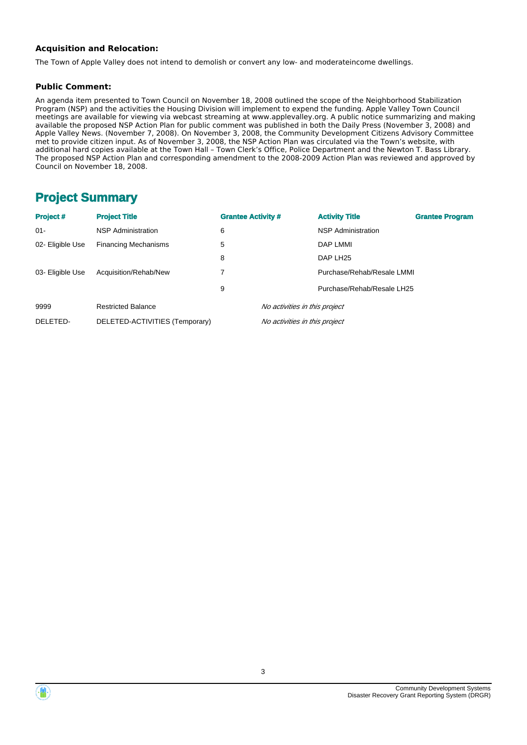#### **Acquisition and Relocation:**

The Town of Apple Valley does not intend to demolish or convert any low- and moderateincome dwellings.

#### **Public Comment:**

An agenda item presented to Town Council on November 18, 2008 outlined the scope of the Neighborhood Stabilization Program (NSP) and the activities the Housing Division will implement to expend the funding. Apple Valley Town Council meetings are available for viewing via webcast streaming at www.applevalley.org. A public notice summarizing and making available the proposed NSP Action Plan for public comment was published in both the Daily Press (November 3, 2008) and Apple Valley News. (November 7, 2008). On November 3, 2008, the Community Development Citizens Advisory Committee met to provide citizen input. As of November 3, 2008, the NSP Action Plan was circulated via the Town's website, with additional hard copies available at the Town Hall – Town Clerk's Office, Police Department and the Newton T. Bass Library. The proposed NSP Action Plan and corresponding amendment to the 2008-2009 Action Plan was reviewed and approved by Council on November 18, 2008.

## **Project Summary**

| <b>Project#</b>  | <b>Project Title</b>           | <b>Grantee Activity #</b> |                               | <b>Activity Title</b>      | <b>Grantee Program</b> |
|------------------|--------------------------------|---------------------------|-------------------------------|----------------------------|------------------------|
| $01 -$           | <b>NSP Administration</b>      | 6                         |                               | <b>NSP Administration</b>  |                        |
| 02- Eligible Use | <b>Financing Mechanisms</b>    | 5                         |                               | DAP LMMI                   |                        |
|                  |                                | 8                         |                               | DAP LH <sub>25</sub>       |                        |
| 03- Eligible Use | Acquisition/Rehab/New          |                           |                               | Purchase/Rehab/Resale LMMI |                        |
|                  |                                | 9                         |                               | Purchase/Rehab/Resale LH25 |                        |
| 9999             | <b>Restricted Balance</b>      |                           | No activities in this project |                            |                        |
| DELETED-         | DELETED-ACTIVITIES (Temporary) |                           | No activities in this project |                            |                        |

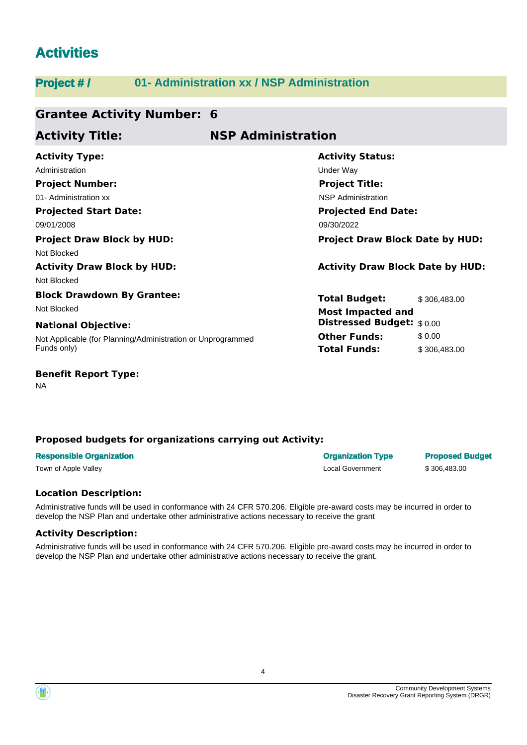# **Activities**

## **Project # / 01- Administration xx / NSP Administration**

## **Grantee Activity Number: 6**

| <b>Activity Title:</b> | <b>NSP Administration</b> |
|------------------------|---------------------------|
|                        |                           |

| <b>Activity Type:</b>                                       | <b>Activity Status:</b>                 |              |  |
|-------------------------------------------------------------|-----------------------------------------|--------------|--|
| Administration                                              | <b>Under Way</b>                        |              |  |
| <b>Project Number:</b>                                      | <b>Project Title:</b>                   |              |  |
| 01- Administration xx                                       | <b>NSP Administration</b>               |              |  |
| <b>Projected Start Date:</b>                                | <b>Projected End Date:</b>              |              |  |
| 09/01/2008                                                  | 09/30/2022                              |              |  |
| <b>Project Draw Block by HUD:</b>                           | <b>Project Draw Block Date by HUD:</b>  |              |  |
| Not Blocked                                                 |                                         |              |  |
| <b>Activity Draw Block by HUD:</b>                          | <b>Activity Draw Block Date by HUD:</b> |              |  |
| Not Blocked                                                 |                                         |              |  |
| <b>Block Drawdown By Grantee:</b>                           | <b>Total Budget:</b>                    | \$306,483.00 |  |
| Not Blocked                                                 | <b>Most Impacted and</b>                |              |  |
| <b>National Objective:</b>                                  | Distressed Budget: \$0.00               |              |  |
| Not Applicable (for Planning/Administration or Unprogrammed | <b>Other Funds:</b>                     | \$0.00       |  |
| Funds only)                                                 | Total Funds:                            | \$306,483.00 |  |
| $\sim$ $\sim$                                               |                                         |              |  |

**Benefit Report Type:**

NA

#### **Proposed budgets for organizations carrying out Activity:**

| <b>Responsible Organization</b> | <b>Organization Type</b> | <b>Proposed Budget</b> |
|---------------------------------|--------------------------|------------------------|
| Town of Apple Valley            | Local Government         | \$306.483.00           |

#### **Location Description:**

Administrative funds will be used in conformance with 24 CFR 570.206. Eligible pre-award costs may be incurred in order to develop the NSP Plan and undertake other administrative actions necessary to receive the grant

#### **Activity Description:**

Administrative funds will be used in conformance with 24 CFR 570.206. Eligible pre-award costs may be incurred in order to develop the NSP Plan and undertake other administrative actions necessary to receive the grant.



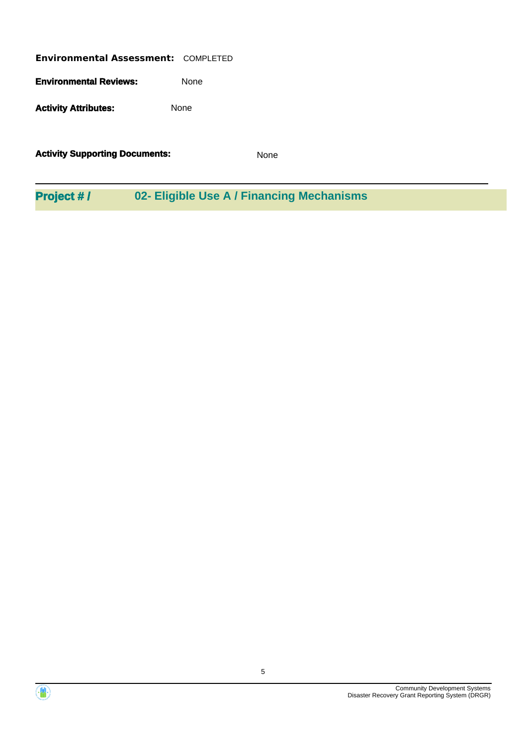**Environmental Assessment:** COMPLETED

**Environmental Reviews:** None

Activity **Attributes:** None

**Activity Supporting Documents:** None

**Project # / 02- Eligible Use A / Financing Mechanisms**



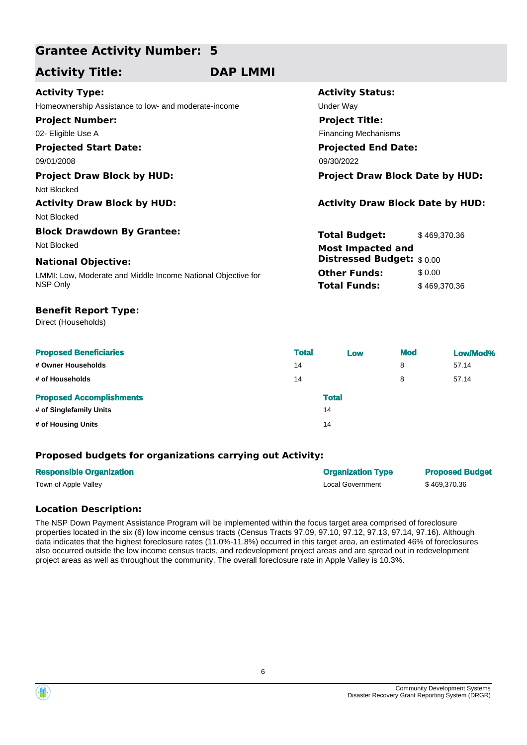## **Activity Title: DAP LMMI**

**Activity Status:**

**Project Title:** Financing Mechanisms

**Projected End Date:**

**Total Budget:** \$469,370.36

**Other Funds:** \$ 0.00 **Total Funds:** \$469,370.36

**Distressed Budget:** \$ 0.00

| <b>Activity Type:</b> |  |
|-----------------------|--|
|-----------------------|--|

Homeownership Assistance to low- and moderate-income Theorem Conder Way

**Project Number:**

02- Eligible Use A

**Projected Start Date:** 09/01/2008 09/30/2022

**Project Draw Block by HUD: Project Draw Block Date by HUD:**

Not Blocked

**Activity Draw Block by HUD: Activity Draw Block Date by HUD:**

Not Blocked

**Block Drawdown By Grantee:** Not Blocked **Most Impacted and** 

#### **National Objective:**

LMMI: Low, Moderate and Middle Income National Objective for NSP Only

#### **Benefit Report Type:**

Direct (Households)

| <b>Proposed Beneficiaries</b>   | <b>Total</b> | Low          | <b>Mod</b> | Low/Mod% |
|---------------------------------|--------------|--------------|------------|----------|
| # Owner Households              | 14           |              | 8          | 57.14    |
| # of Households                 | 14           |              | 8          | 57.14    |
| <b>Proposed Accomplishments</b> |              | <b>Total</b> |            |          |
| # of Singlefamily Units         |              | 14           |            |          |
| # of Housing Units              |              | 14           |            |          |

#### **Proposed budgets for organizations carrying out Activity:**

| <b>Responsible Organization</b> | <b>Organization Type</b> | <b>Proposed Budget</b> |
|---------------------------------|--------------------------|------------------------|
| Town of Apple Valley            | Local Government         | \$469.370.36           |

#### **Location Description:**

The NSP Down Payment Assistance Program will be implemented within the focus target area comprised of foreclosure properties located in the six (6) low income census tracts (Census Tracts 97.09, 97.10, 97.12, 97.13, 97.14, 97.16). Although data indicates that the highest foreclosure rates (11.0%-11.8%) occurred in this target area, an estimated 46% of foreclosures also occurred outside the low income census tracts, and redevelopment project areas and are spread out in redevelopment project areas as well as throughout the community. The overall foreclosure rate in Apple Valley is 10.3%.



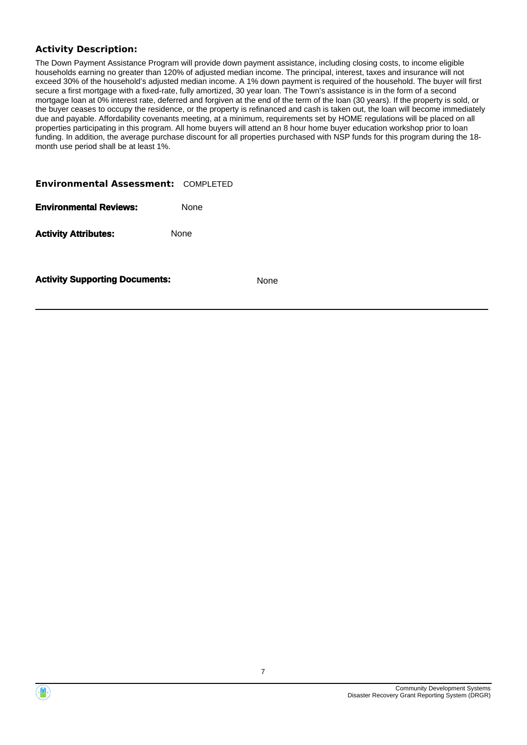#### **Activity Description:**

The Down Payment Assistance Program will provide down payment assistance, including closing costs, to income eligible households earning no greater than 120% of adjusted median income. The principal, interest, taxes and insurance will not exceed 30% of the household's adjusted median income. A 1% down payment is required of the household. The buyer will first secure a first mortgage with a fixed-rate, fully amortized, 30 year loan. The Town's assistance is in the form of a second mortgage loan at 0% interest rate, deferred and forgiven at the end of the term of the loan (30 years). If the property is sold, or the buyer ceases to occupy the residence, or the property is refinanced and cash is taken out, the loan will become immediately due and payable. Affordability covenants meeting, at a minimum, requirements set by HOME regulations will be placed on all properties participating in this program. All home buyers will attend an 8 hour home buyer education workshop prior to loan funding. In addition, the average purchase discount for all properties purchased with NSP funds for this program during the 18 month use period shall be at least 1%.

| <b>Environmental Assessment: COMPLETED</b> |             |
|--------------------------------------------|-------------|
| <b>Environmental Reviews:</b>              | <b>None</b> |
| <b>Activity Attributes:</b>                | <b>None</b> |
|                                            |             |

**Activity Supporting Documents:** None



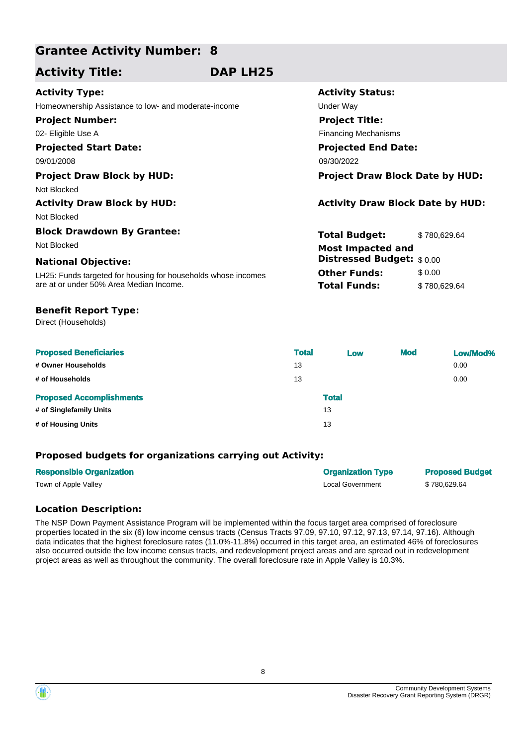## **Activity Title: DAP LH25**

**Activity Status:**

**Project Title:** Financing Mechanisms

**Projected End Date:**

**Total Budget:** \$ 780,629.64

**Other Funds:** \$ 0.00 **Total Funds:** \$ 780,629.64

**Distressed Budget:** \$ 0.00

| Activity Type: |  |
|----------------|--|
|----------------|--|

Homeownership Assistance to low- and moderate-income Theorem Conder Way

**Project Number:**

02- Eligible Use A

### **Projected Start Date:**

09/01/2008 09/30/2022

#### **Project Draw Block by HUD: Project Draw Block Date by HUD:**

Not Blocked

#### **Activity Draw Block by HUD: Activity Draw Block Date by HUD:**

Not Blocked

# **Block Drawdown By Grantee:**

Not Blocked **Most Impacted and** 

#### **National Objective:**

LH25: Funds targeted for housing for households whose incomes are at or under 50% Area Median Income.

#### **Benefit Report Type:**

Direct (Households)

| <b>Proposed Beneficiaries</b>   | <b>Total</b> | Low          | <b>Mod</b> | Low/Mod% |
|---------------------------------|--------------|--------------|------------|----------|
| # Owner Households              | 13           |              |            | 0.00     |
| # of Households                 | 13           |              |            | 0.00     |
| <b>Proposed Accomplishments</b> |              | <b>Total</b> |            |          |
| # of Singlefamily Units         |              | 13           |            |          |
| # of Housing Units              |              | 13           |            |          |

#### **Proposed budgets for organizations carrying out Activity:**

| <b>Responsible Organization</b> | <b>Organization Type</b> | <b>Proposed Budget</b> |
|---------------------------------|--------------------------|------------------------|
| Town of Apple Valley            | <b>Local Government</b>  | \$780.629.64           |

#### **Location Description:**

The NSP Down Payment Assistance Program will be implemented within the focus target area comprised of foreclosure properties located in the six (6) low income census tracts (Census Tracts 97.09, 97.10, 97.12, 97.13, 97.14, 97.16). Although data indicates that the highest foreclosure rates (11.0%-11.8%) occurred in this target area, an estimated 46% of foreclosures also occurred outside the low income census tracts, and redevelopment project areas and are spread out in redevelopment project areas as well as throughout the community. The overall foreclosure rate in Apple Valley is 10.3%.



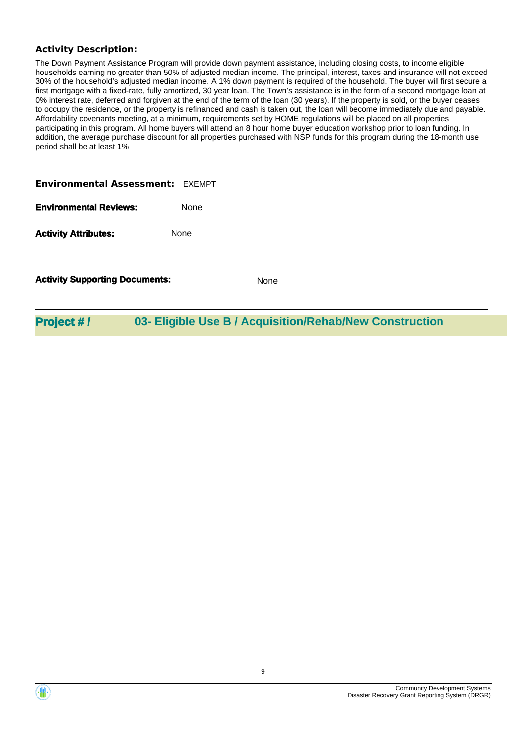#### **Activity Description:**

The Down Payment Assistance Program will provide down payment assistance, including closing costs, to income eligible households earning no greater than 50% of adjusted median income. The principal, interest, taxes and insurance will not exceed 30% of the household's adjusted median income. A 1% down payment is required of the household. The buyer will first secure a first mortgage with a fixed-rate, fully amortized, 30 year loan. The Town's assistance is in the form of a second mortgage loan at 0% interest rate, deferred and forgiven at the end of the term of the loan (30 years). If the property is sold, or the buyer ceases to occupy the residence, or the property is refinanced and cash is taken out, the loan will become immediately due and payable. Affordability covenants meeting, at a minimum, requirements set by HOME regulations will be placed on all properties participating in this program. All home buyers will attend an 8 hour home buyer education workshop prior to loan funding. In addition, the average purchase discount for all properties purchased with NSP funds for this program during the 18-month use period shall be at least 1%

**Environmental Assessment:** EXEMPT

**Environmental Reviews:** None

Activity **Attributes:** None

**Activity Supporting Documents:** None

**Project # / 03- Eligible Use B / Acquisition/Rehab/New Construction**



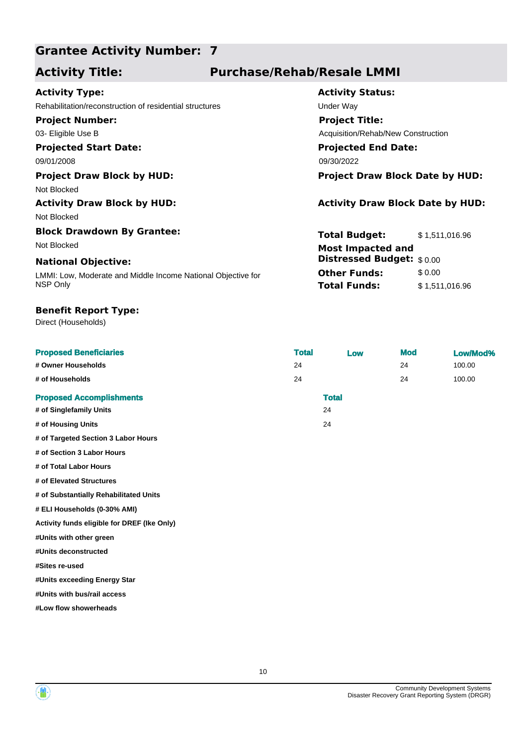### **Activity Title: Purchase/Rehab/Resale LMMI**

**Activity Status:**

**Project Title:**

**Projected End Date:**

Acquisition/Rehab/New Construction

**Total Budget:** \$ 1,511,016.96

**Total Funds:** \$ 1,511,016.96

**Other Funds:** \$0.00

**Distressed Budget:** \$ 0.00

| <b>Activity Type:</b> |  |
|-----------------------|--|
|-----------------------|--|

Rehabilitation/reconstruction of residential structures Theorem Constructure Under Way

**Project Number:**

03- Eligible Use B

#### **Projected Start Date:** 09/01/2008 09/30/2022

**Project Draw Block by HUD: Project Draw Block Date by HUD:** Not Blocked

**Activity Draw Block by HUD: Activity Draw Block Date by HUD:**

Not Blocked

**Block Drawdown By Grantee:** Not Blocked **Most Impacted and** 

#### **National Objective:**

LMMI: Low, Moderate and Middle Income National Objective for NSP Only

#### **Benefit Report Type:**

Direct (Households)

**# of Elevated Structures**

**#Units with other green #Units deconstructed**

**#Sites re-used**

**# of Substantially Rehabilitated Units**

**Activity funds eligible for DREF (Ike Only)**

**# ELI Households (0-30% AMI)**

**#Units exceeding Energy Star #Units with bus/rail access #Low flow showerheads**

| <b>Proposed Beneficiaries</b>       | <b>Total</b> | Low          | <b>Mod</b> | Low/Mod% |
|-------------------------------------|--------------|--------------|------------|----------|
| # Owner Households                  | 24           |              | 24         | 100.00   |
| # of Households                     | 24           |              | 24         | 100.00   |
| <b>Proposed Accomplishments</b>     |              | <b>Total</b> |            |          |
| # of Singlefamily Units             |              | 24           |            |          |
| # of Housing Units                  |              | 24           |            |          |
| # of Targeted Section 3 Labor Hours |              |              |            |          |
| # of Section 3 Labor Hours          |              |              |            |          |
| # of Total Labor Hours              |              |              |            |          |

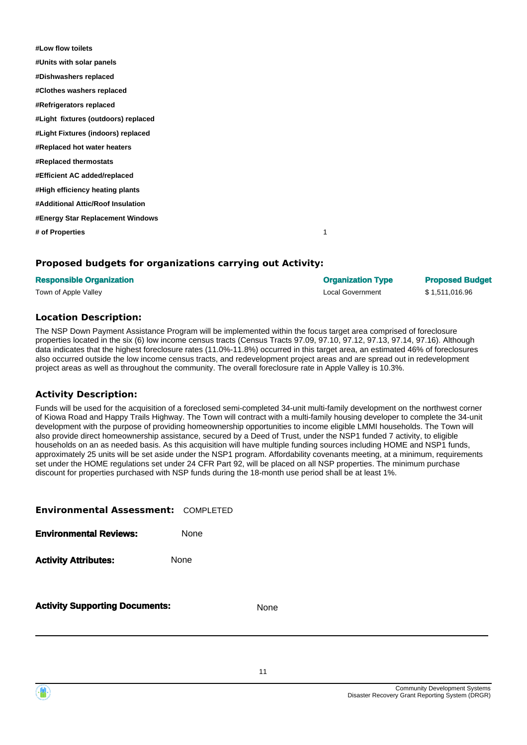**#Low flow toilets #Units with solar panels #Dishwashers replaced #Clothes washers replaced #Refrigerators replaced #Light fixtures (outdoors) replaced #Light Fixtures (indoors) replaced #Replaced hot water heaters #Replaced thermostats #Efficient AC added/replaced #High efficiency heating plants #Additional Attic/Roof Insulation #Energy Star Replacement Windows # of Properties** 1

#### **Proposed budgets for organizations carrying out Activity:**

#### **Responsible Organization Organization Type Proposed Budget**

Town of Apple Valley **Accord Following Contract Contract Contract Contract Contract Contract Contract Contract Contract Contract Contract Contract Contract Contract Contract Contract Contract Contract Contract Contract Con** 

#### **Location Description:**

The NSP Down Payment Assistance Program will be implemented within the focus target area comprised of foreclosure properties located in the six (6) low income census tracts (Census Tracts 97.09, 97.10, 97.12, 97.13, 97.14, 97.16). Although data indicates that the highest foreclosure rates (11.0%-11.8%) occurred in this target area, an estimated 46% of foreclosures also occurred outside the low income census tracts, and redevelopment project areas and are spread out in redevelopment project areas as well as throughout the community. The overall foreclosure rate in Apple Valley is 10.3%.

#### **Activity Description:**

Funds will be used for the acquisition of a foreclosed semi-completed 34-unit multi-family development on the northwest corner of Kiowa Road and Happy Trails Highway. The Town will contract with a multi-family housing developer to complete the 34-unit development with the purpose of providing homeownership opportunities to income eligible LMMI households. The Town will also provide direct homeownership assistance, secured by a Deed of Trust, under the NSP1 funded 7 activity, to eligible households on an as needed basis. As this acquisition will have multiple funding sources including HOME and NSP1 funds, approximately 25 units will be set aside under the NSP1 program. Affordability covenants meeting, at a minimum, requirements set under the HOME regulations set under 24 CFR Part 92, will be placed on all NSP properties. The minimum purchase discount for properties purchased with NSP funds during the 18-month use period shall be at least 1%.

| <b>Environmental Assessment: COMPLETED</b> |             |
|--------------------------------------------|-------------|
| <b>Environmental Reviews:</b>              | <b>None</b> |
| <b>Activity Attributes:</b>                | None        |
| <b>Activity Supporting Documents:</b>      | None        |

11

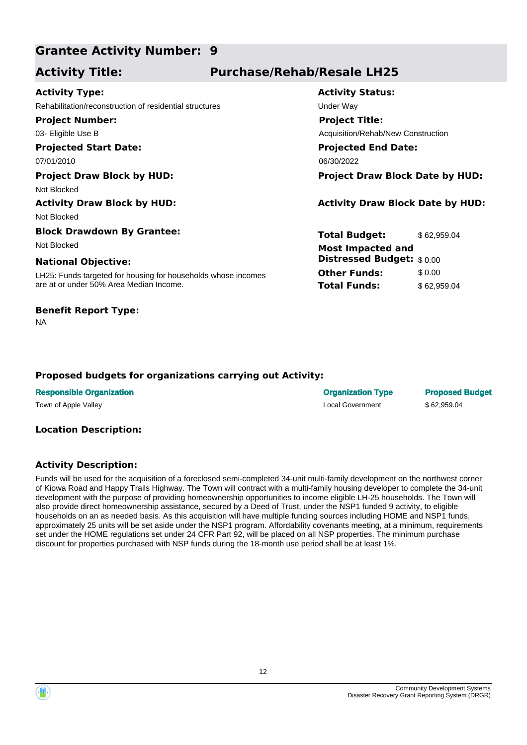### **Activity Title: Purchase/Rehab/Resale LH25**

| <b>Activity Type:</b>                                  |
|--------------------------------------------------------|
| Rehabilitation/reconstruction of residential structure |
| <b>Project Number:</b>                                 |
| 03- Eligible Use B                                     |
| <b>Projected Start Date:</b>                           |

Not Blocked

Not Blocked

## **Block Drawdown By Grantee:**

#### **National Objective:**

LH25: Funds targeted for housing for households whose incomes are at or under 50% Area Median Income.

#### **Benefit Report Type:**

NA

#### **Activity Status: Projected End Date:** es and reconstruction of the Under Way **Project Title:** Acquisition/Rehab/New Construction

07/01/2010 06/30/2022 07/01/2010

**Project Draw Block by HUD: Project Draw Block Date by HUD:**

#### **Activity Draw Block by HUD: Activity Draw Block Date by HUD:**

**Total Budget:** \$62,959.04 **Other Funds:** \$ 0.00 **Total Funds:** \$ 62,959.04 Not Blocked **Most Impacted and Distressed Budget:** \$ 0.00

#### **Proposed budgets for organizations carrying out Activity:**

| <b>Responsible Organization</b> | <b>Organization Type</b> | <b>Proposed Budget</b> |
|---------------------------------|--------------------------|------------------------|
| Town of Apple Valley            | Local Government         | \$62.959.04            |

#### **Location Description:**

#### **Activity Description:**

Funds will be used for the acquisition of a foreclosed semi-completed 34-unit multi-family development on the northwest corner of Kiowa Road and Happy Trails Highway. The Town will contract with a multi-family housing developer to complete the 34-unit development with the purpose of providing homeownership opportunities to income eligible LH-25 households. The Town will also provide direct homeownership assistance, secured by a Deed of Trust, under the NSP1 funded 9 activity, to eligible households on an as needed basis. As this acquisition will have multiple funding sources including HOME and NSP1 funds, approximately 25 units will be set aside under the NSP1 program. Affordability covenants meeting, at a minimum, requirements set under the HOME regulations set under 24 CFR Part 92, will be placed on all NSP properties. The minimum purchase discount for properties purchased with NSP funds during the 18-month use period shall be at least 1%.

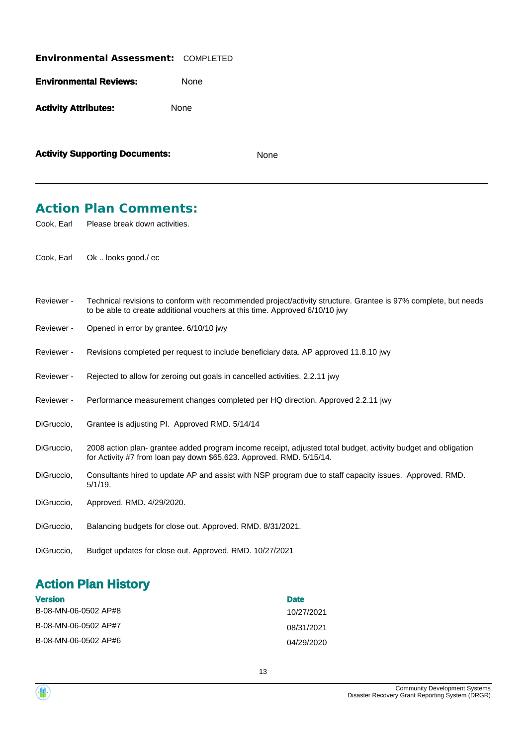| <b>Environmental Assessment: COMPLETED</b> |      |
|--------------------------------------------|------|
| <b>Environmental Reviews:</b>              | None |
| <b>Activity Attributes:</b>                | None |

**Activity Supporting Documents:** None

## **Action Plan Comments:**

| Cook, Earl |  | Please break down activities. |
|------------|--|-------------------------------|
|            |  |                               |

Cook, Earl Ok .. looks good./ ec

| Reviewer - | Technical revisions to conform with recommended project/activity structure. Grantee is 97% complete, but needs<br>to be able to create additional vouchers at this time. Approved 6/10/10 jwy |
|------------|-----------------------------------------------------------------------------------------------------------------------------------------------------------------------------------------------|
| Reviewer - | Opened in error by grantee. 6/10/10 jwy                                                                                                                                                       |
| Reviewer - | Revisions completed per request to include beneficiary data. AP approved 11.8.10 jwy                                                                                                          |
| Reviewer - | Rejected to allow for zeroing out goals in cancelled activities. 2.2.11 jwy                                                                                                                   |
| Reviewer - | Performance measurement changes completed per HQ direction. Approved 2.2.11 jwy                                                                                                               |
| DiGruccio, | Grantee is adjusting PI. Approved RMD. 5/14/14                                                                                                                                                |
| DiGruccio, | 2008 action plan- grantee added program income receipt, adjusted total budget, activity budget and obligation<br>for Activity #7 from loan pay down \$65,623. Approved. RMD. 5/15/14.         |
| DiGruccio, | Consultants hired to update AP and assist with NSP program due to staff capacity issues. Approved. RMD.<br>$5/1/19$ .                                                                         |
| DiGruccio, | Approved. RMD. 4/29/2020.                                                                                                                                                                     |
| DiGruccio, | Balancing budgets for close out. Approved. RMD. 8/31/2021.                                                                                                                                    |
| DiGruccio, | Budget updates for close out. Approved. RMD. 10/27/2021                                                                                                                                       |

# **Action Plan History**

| <b>Version</b>       | <b>Date</b> |
|----------------------|-------------|
| B-08-MN-06-0502 AP#8 | 10/27/2021  |
| B-08-MN-06-0502 AP#7 | 08/31/2021  |
| B-08-MN-06-0502 AP#6 | 04/29/2020  |